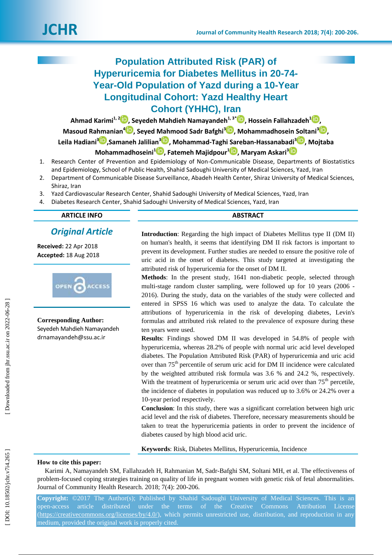# **Population Attributed Risk (PAR) of Hyperuricemia for Diabetes Mellitus in 20 -74 - Year -Old Population of Yazd during a 10 -Year Longitudinal Cohort: Yazd Healthy Heart Cohort (YHHC) , Iran**

Ahmad Karimi<sup>1[,](https://orcid.org/0000-0003-3616-2864) 2</sup> D, Seyedeh Mahdieh Namayandeh<sup>[1](https://orcid.org/0000-0002-5122-9062), 3\*</sup> D, Hossein Fallahzadeh<sup>1</sup> D,

**Masoud Rahmanian<sup>4</sup><sup>1</sup>, Seyed Mahmood Sadr Bafghi<sup>[3](https://orcid.org/0000-0001-9564-8747)</sup><sup>1</sup>D[,](https://orcid.org/0000-0002-2083-1421) Mohammadhosein Soltani<sup>3</sup><sup>1</sup>D,** 

**Leila Hadiani [3](https://orcid.org/0000-0001-8149-7060) ,Samaneh Jalilian 3 [,](https://orcid.org/0000-0003-3694-1737) Mohammad -Taghi Sareban -Hassanabadi 3 [,](https://orcid.org/0000-0001-7837-0974) Mojtaba** 

- **Mohammadhoseini 1 [,](https://orcid.org/0000-0002-7244-866X) Fatemeh Majidpour 1 [,](https://orcid.org/0000-0002-9923-5576) Maryam Askari 3**
- 1. Research Center of Prevention and Epidemiology of Non -Communicable Disease, Departments of Biostatistics and Epidemiology, School of Public Health, Shahid Sadoughi University of Medical Sciences, Yazd, Iran
- 2. Department of Communicable Disease Surveillance, Abadeh Health Center, Shiraz University of Medical Sciences, Shiraz, Iran
- 3. Yazd Cardiovascular Research Center, Shahid Sadoughi University of Medical Sciences, Yazd, Iran
- 4. Diabetes Research Center, Shahid Sadoughi University of Medical Sciences, Yazd, Iran

| <b>ARTICLE INFO</b> | $PQ = RQ$<br>ישר |
|---------------------|------------------|
|                     |                  |
|                     |                  |

# *Original Article*

**Received:** 22 Apr 2018 **Accepted:** 18 Aug 2018



**Corresponding Author:** Seyedeh Mahdieh Namayandeh drnamayandeh@ssu.ac.ir

**Introduction**: Regarding the high impact of Diabetes Mellitus type II (DM II) on human's health, it seems that identifying DM II risk factors is important to prevent its development. Further studies are needed to ensure the positive role of uric acid in the onset of diabetes. This study targeted at investigating the attributed risk of hyperuricemia for the onset of DM II .

**Methods**: In the present study, 1641 non -diabetic people, selected through multi-stage random cluster sampling, were followed up for 10 years (2006 -2016). During the study, data on the variables of the study were collected and entered in SPSS 16 which was used to analyze the data. To calculate the attributions of hyperuricemia in the risk of developing diabetes, Levin's formulas and attributed risk related to the prevalence of exposure during these ten years were used.

**Results**: Findings showed DM II was developed in 54.8% of people with hyperuricemia, whereas 28.2% of people with normal uric acid level developed diabetes. The Population Attributed Risk ( PAR) of hyperuricemia and uric acid over than 75<sup>th</sup> percentile of serum uric acid for DM II incidence were calculated by the weighted attributed risk formula was 3.6 % and 24.2 %, respectively. With the treatment of hyperuricemia or serum uric acid over than  $75<sup>th</sup>$  percetile, the incidence of diabetes in population was reduced up to 3.6% or 24.2% over a 10 -year period respectively.

**Conclusion**: In this study, there was a significant correlation between high uric acid level and the risk of diabetes. Therefore, necessary measurements should be taken to treat the hyperuricemia patients in order to prevent the incidence of diabetes caused by high blood acid uric.

**Keywords**: Risk, Diabetes Mellitus, Hyperuricemia, Incidence

#### **How to cite this paper:**

Karimi A, Namayandeh SM, Fallahzadeh H, Rahmanian M, Sadr -Bafghi SM, Soltani MH, et al. The effectiveness of problem -focused coping strategies training on quality of life in pregnant women with genetic risk of fetal abnormalities. Journal of Community Health Research. 2018; 7( 4): 200 -206 .

**Copyright:** ©2017 The Author(s); Published by Shahid Sadoughi University of Medical Sciences. This is an open-access article distributed under the terms of the Creative Commons Attribution License [\(https://creativecommons.org/licenses/by/4.0/\)](https://creativecommons.org/licenses/by/4.0/), which permits unrestricted use, distribution, and reproduction in any medium, provided the original work is properly cited.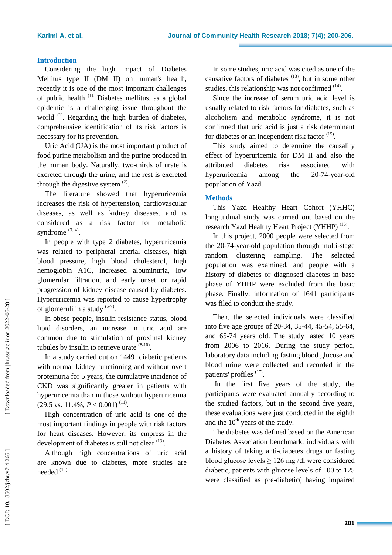### **Introduction**

Considering the high impact of Diabetes Mellitus type II (DM II) on human's health, recently it is one of the most important challenges of public health<sup>(1)</sup> Diabetes mellitus, as a global epidemic is a challenging issue throughout the world<sup>(1)</sup>. Regarding the high burden of diabetes, comprehensive identification of its risk factors is necessary for its prevention.

Uric Acid (UA) is the most important product of food purine metabolism and the purine produced in the human body. Naturally, two -thirds of urate is excreted through the urine, and the rest is excreted through the digestive system  $(2)$ .

The literature showed that hyperuricemia increases the risk of hypertension, cardiovascular diseases, as well as kidney diseases, and is considered as a risk factor for metabolic syndrome  $(3, 4)$ .

In people with type 2 diabetes, hyperuricemia was related to peripheral arterial diseases, high blood pressure, high blood cholesterol, high hemoglobin A1C, increased albuminuria, low glomerular filtration, and early onset or rapid progression of kidney disease caused by diabetes . Hyperuricemia was reported to caus e hypertrophy of glomeruli in a study  $(5-7)$ .

In obese people, insulin resistance status, blood lipid disorders, an increase in uric acid are common due to stimulation of proximal kidney tubules by insulin to retrieve urate  $(8-10)$ .

In a study carried out on 1449 diabetic patients with normal kidney functioning and without overt proteinuria for 5 years, the cumulative incidence of CKD was significantly greater in patients with hyperuricemia than in those without hyperuricemia  $(29.5 \text{ vs. } 11.4\%, P < 0.001)^{(11)}$ .

High concentration of u ric acid is one of the most important findings in people with risk factors for heart diseases. However, its empress in the development of diabetes is still not clear  $(13)$ .

Although high concentrations of uric acid are known due to diabetes, more studies are needed <sup>(12)</sup>.

In some studies, uric acid was cited as one of the causative factors of diabetes  $(13)$ , but in some other studies, this relationship was not confirmed  $(14)$ .

Since the increase of serum uric acid level is usually related to risk factors for diabetes, such as alcoholism and metabolic syndrome, it is not confirmed that uric acid is just a risk determinant for diabetes or an independent risk factor <sup>(15)</sup>.

This study aimed to determine the causality effect of hyperuricemia for DM II and also the attributed diabetes risk associated with hyperuricemia among the -74 -year -old population of Yazd.

# **Methods**

This Yazd Healthy Heart Cohort (YHHC) longitudinal study was carried out based on the research Yazd Healthy Heart Project (YHHP)<sup>(16)</sup>.

In this project , 2000 people were selected from the 20 -74 -year -old population through multi -stage random clustering sampling. The selected population was examined , and people with a history of diabetes or diagnosed diabetes in base phase of YHHP were excluded from the basic phase. Finally, information of 1641 participants was filed to conduct the study.

Then, the selected individuals were classified into five age groups of 20 -34, 35 -44, 45 -54, 55 -64, and 65 -74 years old. The study lasted 10 years from 2006 to 2016. During the study period, laboratory data including fasting blood glucose and blood urine were collected and recorded in the patients' profiles <sup>(17)</sup>.

In the first five years of the study, the participants were evaluated annually according to the studied factors, but in the second five years , these evaluations were just conducted in the eighth and the  $10<sup>th</sup>$  years of the study.

The diabetes was defined based on the American Diabetes Association benchmark; individuals with a history of taking anti -diabetes drugs or fasting blood glucose levels  $\geq 126$  mg/dl were considered diabetic, patients with glucose levels of 100 to 125 were classified as pre -diabetic( having impaired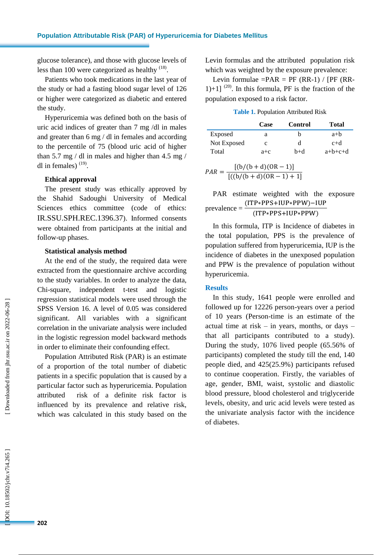glucose tolerance), and those with glucose levels of less than 100 were categorized as healthy  $(18)$ .

Patients who took medications in the last year of the study or had a fasting blood sugar level of 126 or higher were categorized as diabetic and entered the study.

Hyperuricemia was defined both on the basis of uric acid indices of greater than 7 mg /dl in males and greater than 6 mg / dl in females and according to the percentile of 75 (blood uric acid of higher than 5.7 mg / dl in males and higher than 4.5 mg / dl in females)  $(19)$ .

# **Ethical approval**

The present study was ethically approved by the Shahid Sadoughi University of Medical Sciences ethics committee (code of ethics: IR.SSU.SPH.REC.1396.37). Informed consents were obtained from participants at the initial and follow -up phase s .

#### **Statistical analysis method**

At the end of the study, the required data were extracted from the questionnaire archive according to the study variables . In order to analyze the data, Chi -square, independent t -test and logistic regression statistical models were used through the SPSS Version 16 . A level of 0.05 was considered significant . All variables with a significant correlation in the univariate analysis were included in the logistic regression model backward methods in order to eliminate their confounding effect.

Population Attributed Risk (PAR) is an estimate of a proportion of the total number of diabetic patients in a specific population that is caused by a particular factor such as hyperuricemia. Population attributed risk of a definite risk factor is influenced by its prevalence and relative risk, which was calculated in this study based on the

Levin formulas and the attributed population risk which was weighted by the exposure prevalence:

Levin formulae = $PAR = PF (RR-1) / [PF (RR-1)]$  $1+1$ ]<sup>(20)</sup>. In this formula, PF is the fraction of the population exposed to a risk factor.

**Table 1.** Population Attributed Risk

|             | Case               | <b>Control</b> | Total     |
|-------------|--------------------|----------------|-----------|
| Exposed     | a                  | h              | $a+b$     |
| Not Exposed | c                  | d              | $c+d$     |
| Total       | $a + c$            | b+d            | $a+b+c+d$ |
| PAN         | $[(b/(b+d)(OR-1)]$ |                |           |

 $PAR =$  $[((b/(b+d)(OR-1)+1)]$ 

PAR estimate weighted with the exposure prevalence =  $(ITP*PPS+IUP*PPW)$ - $(ITP*PPS+IUP*PPW)$ 

In this formula, ITP is Incidence of diabetes in the total population , PPS is the prevalence of population suffered from hyperuricemia , IUP is the incidence of diabetes in the unexposed population and PPW is the prevalence of population without hyperuricemia .

# **Results**

In this study, 1641 people were enrolled and followed up for 12226 person -years over a period of 10 years (Person -time is an estimate of the actual time at risk – in years, months, or days – that all participants contributed to a study) . During the study, 1076 lived people (65.56% of participants) completed the study till the end, 140 people died , and 425 (25.9%) participants refused to continue cooperation. Firstly, the variables of age, gender, BMI, waist, systolic and diastolic blood pressure, blood cholesterol and triglyceride levels, obesity, and uric acid levels were tested as the univariate analysis factor with the incidence of diabetes .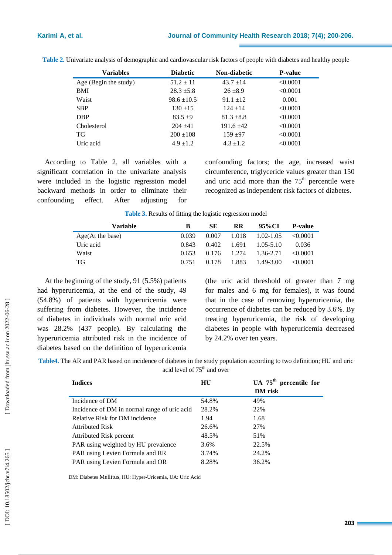| <b>Variables</b>      | <b>Diabetic</b> | Non-diabetic   | <b>P-value</b> |
|-----------------------|-----------------|----------------|----------------|
| Age (Begin the study) | $51.2 \pm 11$   | $43.7 \pm 14$  | < 0.0001       |
| <b>BMI</b>            | $28.3 \pm 5.8$  | $26 + 8.9$     | < 0.0001       |
| Waist                 | $98.6 \pm 10.5$ | $91.1 \pm 12$  | 0.001          |
| <b>SBP</b>            | $130 + 15$      | $124 + 14$     | < 0.0001       |
| <b>DBP</b>            | $83.5 + 9$      | $81.3 \pm 8.8$ | < 0.0001       |
| Cholesterol           | $204 + 41$      | $191.6 + 42$   | < 0.0001       |
| TG                    | $200 \pm 108$   | $159 + 97$     | < 0.0001       |
| Uric acid             | $4.9 \pm 1.2$   | $4.3 \pm 1.2$  | < 0.0001       |

**Table 2 .** Univariate analysis of demographic and cardiovascular risk factors of people with diabetes and healthy people

According to Table 2, all variables with a significant correlation in the univariate analysis were included in the logistic regression model backward methods in order to eliminate their confounding effect. After adjusting for

confounding factors ; the age, increased waist circumference, triglyceride values greater than 150 and uric acid more than the  $75<sup>th</sup>$  percentile were recognized as independent risk factors of diabetes.

| Variable         | В     | SЕ    | <b>RR</b> | 95%CI         | <b>P-value</b> |
|------------------|-------|-------|-----------|---------------|----------------|
| Age(At the base) | 0.039 | 0.007 | 1.018     | 1.02-1.05     | $\leq 0.0001$  |
| Uric acid        | 0.843 | 0.402 | 1.691     | $1.05 - 5.10$ | 0.036          |
| Waist            | 0.653 | 0.176 | 1.274     | 1.36-2.71     | < 0.0001       |
| -TG              | 0.751 | 0.178 | 1.883     | 1.49-3.00     | < 0.0001       |

**Table 3 .** Results of fitting the logistic regression model

At the beginning of the study, 91 (5.5%) patients had hyperuricemia, at the end of the study, 49 (54.8%) of patients with hyperuricemia were suffering from diabetes. However, the incidence of diabetes in individuals with normal uric acid was 28.2% (437 people). By calculating the hyperuricemia attributed risk in the incidence of diabetes based on the definition of hyperuricemia

(the uric acid threshold of greater than 7 mg for male s and 6 mg for female s), it was found that in the case of removing hyperuricemia, the occurrence of diabetes can be reduced by 3.6%. By treating hyperuricemia, the risk of developing diabetes in people with hyperuricemia decreased by 24.2% over ten years .

Table4. The AR and PAR based on incidence of diabetes in the study population according to two definition; HU and uric acid level of 75<sup>th</sup> and over

| <b>Indices</b>                               | HU    | UA $75th$ percentile for |
|----------------------------------------------|-------|--------------------------|
|                                              |       | <b>DM</b> risk           |
| Incidence of DM                              | 54.8% | 49%                      |
| Incidence of DM in normal range of uric acid | 28.2% | 22%                      |
| Relative Risk for DM incidence               | 1.94  | 1.68                     |
| <b>Attributed Risk</b>                       | 26.6% | 27%                      |
| Attributed Risk percent                      | 48.5% | 51%                      |
| PAR using weighted by HU prevalence          | 3.6%  | 22.5%                    |
| PAR using Levien Formula and RR              | 3.74% | 24.2%                    |
| PAR using Levien Formula and OR              | 8.28% | 36.2%                    |

DM: Diabetes Mellitus, HU: Hyper -Uricemia, UA: Uric Acid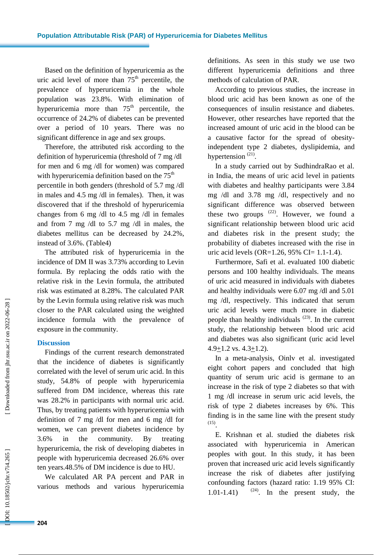Based on the definition of hyperuricemia as the uric acid level of more than  $75<sup>th</sup>$  percentile, the prevalence of hyperuricemia in the whole population was 23.8%. With elimination of hyperuricemia more than  $75<sup>th</sup>$  percentile, the occurrence of 24.2% of diabetes can be prevented over a period of 10 years. There was no significant difference in age and sex groups.

Therefore , the attributed risk according to the definition of hyperuricemia (threshold of 7 mg /dl for men and 6 mg /dl for women) was compared with hyperuricemia definition based on the  $75<sup>th</sup>$ percentile in both genders (threshold of 5.7 mg /dl in male s and 4.5 mg /dl in female s). Then, it was discovered that if the threshold of hyperuricemia changes from 6 mg /dl to 4.5 mg /dl in females and from 7 mg /dl to 5.7 mg /dl in males, the diabetes mellitus can be decreased by 24.2%, instead of 3.6%. (Table4)

The attributed risk of hyperuricemia in the incidence of DM II was 3.73% according to Levin formula. By replacing the odd s ratio with the relative risk in the Levin formula, the attributed risk was estimated a t 8.28%. The calculated PAR by the Levin formula using relative risk was much closer to the PAR calculated using the weighted incidence formula with the prevalence of exposure in the community.

# **Discussion**

Findings of the current research demonstrated that the incidence of diabetes is significantly correlated with the level of serum uric acid. In this study, 54.8% of people with hyperuricemia suffered from DM incidence, whereas this rate was 28.2% in participants with normal uric acid. Thus, by treating patients with hyperuricemia with definition of 7 mg /dl for men and 6 mg /dl for women , we can prevent diabetes incidence by 3.6% in the community. By treating hyperuricemia, the risk of developing diabetes in people with hyperuricemia decreased 26.6% over ten years.48.5% of DM incidence is due to HU.

We calculated AR PA percent and PAR in various methods and various hyperuricemia

definition s. As seen in this study we use two different hyperuricemia definitions and three methods of calculation of PAR.

According to previous studies, the increase in blood uric acid has been known as one of the consequences of insulin resistance and diabetes. However, other researches have reported that the increased amount of uric acid in the blood can be a causative factor for the spread of obesity  independent type 2 diabetes, dyslipidemia, and hypertension  $(21)$ .

In a study carried out by SudhindraRao et al. in India, the means of uric acid level in patients with diabetes and healthy participants were 3.84 mg /dl and 3.78 mg / d l, respectively and no significant difference was observed between these two groups  $(22)$ . However, we found a significant relationship between blood uric acid and diabetes risk in the present study; the probability of diabetes increased with the rise in uric acid levels (OR=1.26, 95% CI= 1.1-1.4).

Furthermore, Safi et al. evaluated 100 diabetic persons and 100 healthy individuals. The means of uric acid measured in individuals with diabetes and healthy individuals were 6.07 mg /dl and 5.01 mg /dl, respectively. This indicated that serum uric acid levels were much more in diabetic people than healthy individuals  $(23)$ . In the current study, the relationship between blood uric acid and diabetes was also significant (uric acid level  $4.9+1.2$  vs.  $4.3+1.2$ ).

In a meta -analysis, Oinlv et al. investigated eight cohort papers and concluded that high quantity of serum uric acid is germane to an increase in the risk of type 2 diabetes so that with 1 mg /dl increase in serum uric acid levels, the risk of type 2 diabetes increases by 6%. This finding is in the same line with the present study (15) .

E. Krishnan et al. studied the diabetes risk associated with hyperuricemia in American peoples with gout. In this study, it has been proven that increased uric acid levels significantly increase the risk of diabetes after justifying confounding factors (hazard ratio: 1.19 95% CI :  $1.01 - 1.41$  $-1.41$ ) <sup>(24)</sup>. In the present study, the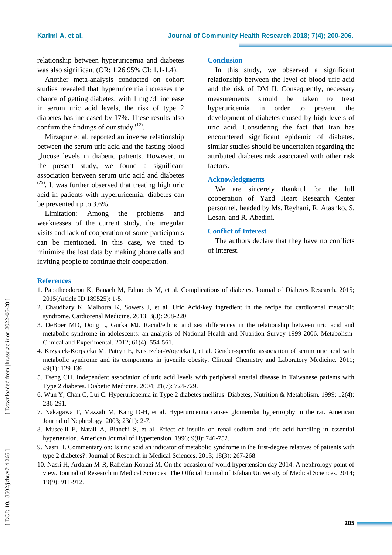relationship between hyperuricemia and diabetes was also significant (OR: 1.26 95% CI: 1.1 -1.4).

Another meta -analysis conducted on cohort studies revealed that hyperuricemia increases the chance of getting diabetes; with 1 mg /dl increase in serum uric acid levels, the risk of type 2 diabetes has increased by 17%. These results also confirm the findings of our study  $(12)$ .

Mirzapur et al. reported an inverse relationship between the serum uric acid and the fasting blood glucose levels in diabetic patients. However, in the present study, we found a significant association between serum uric acid and diabetes (25) . It was further observed that treating high uric acid in patients with hyperuricemia ; diabetes can be prevented up to 3.6%.

Limitation: Among the problems and weaknesses of the current study , the irregular visits and lack of cooperation of some participants can be mentioned. In this case, we tried to minimize the lost data by making phone calls and inviting people to continue their cooperation.

#### **Conclusion**

In this study, we observed a significant relationship between the level of blood uric acid and the risk of DM II. Consequently, necessary measurements should be taken to treat hyperuricemia in order to prevent the development of diabetes caused by high levels of uric acid. Considering the fact that Iran has encountered significant epidemic of diabetes, similar studies should be undertaken regarding the attributed diabetes risk associated with other risk factors.

#### **Acknowledgments**

We are sincerely thankful for the full cooperation of Yazd Heart Research Center personnel, headed by Ms. Reyhani, R . Atashko, S . Lesan , and R . Abedini .

# **Conflict of Interest**

The authors declare that they have no conflicts of interest.

### **References**

- 1. Papatheodorou K, Banach M, Edmonds M, et al. Complications of diabetes. Journal of Diabetes Research. 2015; 2015(Article ID 189525): 1 -5.
- 2. Chaudhary K, Malhotra K, Sowers J, et al. Uric Acid -key ingredient in the recipe for cardiorenal metabolic syndrome. Cardiorenal Medicine. 2013; 3(3): 208 -220.
- 3. DeBoer MD, Dong L, Gurka MJ. Racial/ethnic and sex differences in the relationship between uric acid and metabolic syndrome in adolescents: an analysis of National Health and Nutrition Survey 1999-2006. Metabolism-Clinical and Experimental. 2012; 61(4): 554 -561.
- 4. Krzystek -Korpacka M, Patryn E, Kustrzeba -Wojcicka I, et al. Gender -specific association of serum uric acid with metabolic syndrome and its components in juvenile obesity. Clinical Chemistry and Laboratory Medicine. 2011; 49(1): 129 -136.
- 5. Tseng CH. Independent association of uric acid levels with peripheral arterial disease in Taiwanese patients with Type 2 diabetes. Diabetic Medicine. 2004; 21(7): 724 -729.
- 6. Wun Y, Chan C, Lui C. Hyperuricaemia in Type 2 diabetes mellitus. Diabetes, Nutrition & Metabolism. 1999; 12(4): 286 -291.
- 7. Nakagawa T, Mazzali M, Kang D -H, et al. Hyperuricemia causes glomerular hypertrophy in the rat. American Journal of Nephrology. 2003; 23(1): 2 -7.
- 8. Muscelli E, Natali A, Bianchi S, et al. Effect of insulin on renal sodium and uric acid handling in essential hypertension. American Journal of Hypertension. 1996; 9(8): 746 -752.
- 9. Nasri H. Commentary on: Is uric acid an indicator of metabolic syndrome in the first -degree relatives of patients with type 2 diabetes?. Journal of Research in Medical Sciences. 2013; 18(3): 267 -268.
- 10. Nasri H, Ardalan M-R, Rafieian-Kopaei M. On the occasion of world hypertension day 2014: A nephrology point of view. Journal of Research in Medical Sciences: The Official Journal of Isfahan University of Medical Sciences. 2014; 19(9): 911 -912.